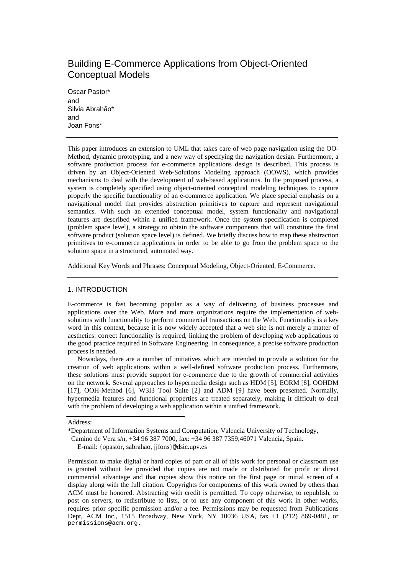# Building E-Commerce Applications from Object-Oriented Conceptual Models

Oscar Pastor\* and Silvia Abrahão\* and Joan Fons\*

This paper introduces an extension to UML that takes care of web page navigation using the OO-Method, dynamic prototyping, and a new way of specifying the navigation design. Furthermore, a software production process for e-commerce applications design is described. This process is driven by an Object-Oriented Web-Solutions Modeling approach (OOWS), which provides mechanisms to deal with the development of web-based applications. In the proposed process, a system is completely specified using object-oriented conceptual modeling techniques to capture properly the specific functionality of an e-commerce application. We place special emphasis on a navigational model that provides abstraction primitives to capture and represent navigational semantics. With such an extended conceptual model, system functionality and navigational features are described within a unified framework. Once the system specification is completed (problem space level), a strategy to obtain the software components that will constitute the final software product (solution space level) is defined. We briefly discuss how to map these abstraction primitives to e-commerce applications in order to be able to go from the problem space to the solution space in a structured, automated way.

Additional Key Words and Phrases: Conceptual Modeling, Object-Oriented, E-Commerce.

## 1. INTRODUCTION

E-commerce is fast becoming popular as a way of delivering of business processes and applications over the Web. More and more organizations require the implementation of websolutions with functionality to perform commercial transactions on the Web. Functionality is a key word in this context, because it is now widely accepted that a web site is not merely a matter of aesthetics: correct functionality is required, linking the problem of developing web applications to the good practice required in Software Engineering. In consequence, a precise software production process is needed.

Nowadays, there are a number of initiatives which are intended to provide a solution for the creation of web applications within a well-defined software production process. Furthermore, these solutions must provide support for e-commerce due to the growth of commercial activities on the network. Several approaches to hypermedia design such as HDM [5], EORM [8], OOHDM [17], OOH-Method [6], W3I3 Tool Suite [2] and ADM [9] have been presented. Normally, hypermedia features and functional properties are treated separately, making it difficult to deal with the problem of developing a web application within a unified framework.

Permission to make digital or hard copies of part or all of this work for personal or classroom use is granted without fee provided that copies are not made or distributed for profit or direct commercial advantage and that copies show this notice on the first page or initial screen of a display along with the full citation. Copyrights for components of this work owned by others than ACM must be honored. Abstracting with credit is permitted. To copy otherwise, to republish, to post on servers, to redistribute to lists, or to use any component of this work in other works, requires prior specific permission and/or a fee. Permissions may be requested from Publications Dept, ACM Inc., 1515 Broadway, New York, NY 10036 USA, fax +1 (212) 869-0481, or permissions@acm.org.

Address:

<sup>\*</sup>Department of Information Systems and Computation, Valencia University of Technology,

Camino de Vera s/n, +34 96 387 7000, fax: +34 96 387 7359,46071 Valencia, Spain.

E-mail: {opastor, sabrahao, jjfons}@dsic.upv.es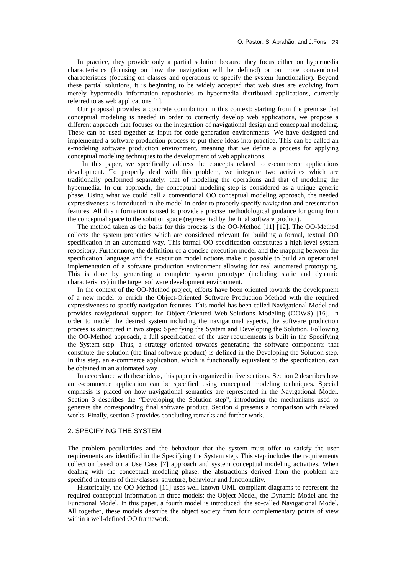In practice, they provide only a partial solution because they focus either on hypermedia characteristics (focusing on how the navigation will be defined) or on more conventional characteristics (focusing on classes and operations to specify the system functionality). Beyond these partial solutions, it is beginning to be widely accepted that web sites are evolving from merely hypermedia information repositories to hypermedia distributed applications, currently referred to as web applications [1].

Our proposal provides a concrete contribution in this context: starting from the premise that conceptual modeling is needed in order to correctly develop web applications, we propose a different approach that focuses on the integration of navigational design and conceptual modeling. These can be used together as input for code generation environments. We have designed and implemented a software production process to put these ideas into practice. This can be called an e-modeling software production environment, meaning that we define a process for applying conceptual modeling techniques to the development of web applications.

In this paper, we specifically address the concepts related to e-commerce applications development. To properly deal with this problem, we integrate two activities which are traditionally performed separately: that of modeling the operations and that of modeling the hypermedia. In our approach, the conceptual modeling step is considered as a unique generic phase. Using what we could call a conventional OO conceptual modeling approach, the needed expressiveness is introduced in the model in order to properly specify navigation and presentation features. All this information is used to provide a precise methodological guidance for going from the conceptual space to the solution space (represented by the final software product).

The method taken as the basis for this process is the OO-Method [11] [12]. The OO-Method collects the system properties which are considered relevant for building a formal, textual OO specification in an automated way. This formal OO specification constitutes a high-level system repository. Furthermore, the definition of a concise execution model and the mapping between the specification language and the execution model notions make it possible to build an operational implementation of a software production environment allowing for real automated prototyping. This is done by generating a complete system prototype (including static and dynamic characteristics) in the target software development environment.

In the context of the OO-Method project, efforts have been oriented towards the development of a new model to enrich the Object-Oriented Software Production Method with the required expressiveness to specify navigation features. This model has been called Navigational Model and provides navigational support for Object-Oriented Web-Solutions Modeling (OOWS) [16]. In order to model the desired system including the navigational aspects, the software production process is structured in two steps: Specifying the System and Developing the Solution. Following the OO-Method approach, a full specification of the user requirements is built in the Specifying the System step. Thus, a strategy oriented towards generating the software components that constitute the solution (the final software product) is defined in the Developing the Solution step. In this step, an e-commerce application, which is functionally equivalent to the specification, can be obtained in an automated way.

In accordance with these ideas, this paper is organized in five sections. Section 2 describes how an e-commerce application can be specified using conceptual modeling techniques. Special emphasis is placed on how navigational semantics are represented in the Navigational Model. Section 3 describes the "Developing the Solution step", introducing the mechanisms used to generate the corresponding final software product. Section 4 presents a comparison with related works. Finally, section 5 provides concluding remarks and further work.

## 2. SPECIFYING THE SYSTEM

The problem peculiarities and the behaviour that the system must offer to satisfy the user requirements are identified in the Specifying the System step. This step includes the requirements collection based on a Use Case [7] approach and system conceptual modeling activities. When dealing with the conceptual modeling phase, the abstractions derived from the problem are specified in terms of their classes, structure, behaviour and functionality.

Historically, the OO-Method [11] uses well-known UML-compliant diagrams to represent the required conceptual information in three models: the Object Model, the Dynamic Model and the Functional Model. In this paper, a fourth model is introduced: the so-called Navigational Model. All together, these models describe the object society from four complementary points of view within a well-defined OO framework.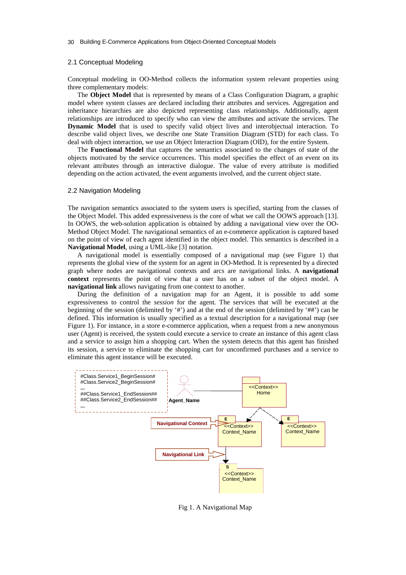#### 30 Building E-Commerce Applications from Object-Oriented Conceptual Models

#### 2.1 Conceptual Modeling

Conceptual modeling in OO-Method collects the information system relevant properties using three complementary models:

The **Object Model** that is represented by means of a Class Configuration Diagram, a graphic model where system classes are declared including their attributes and services. Aggregation and inheritance hierarchies are also depicted representing class relationships. Additionally, agent relationships are introduced to specify who can view the attributes and activate the services. The **Dynamic Model** that is used to specify valid object lives and interobjectual interaction. To describe valid object lives, we describe one State Transition Diagram (STD) for each class. To deal with object interaction, we use an Object Interaction Diagram (OID), for the entire System.

The **Functional Model** that captures the semantics associated to the changes of state of the objects motivated by the service occurrences. This model specifies the effect of an event on its relevant attributes through an interactive dialogue. The value of every attribute is modified depending on the action activated, the event arguments involved, and the current object state.

#### 2.2 Navigation Modeling

The navigation semantics associated to the system users is specified, starting from the classes of the Object Model. This added expressiveness is the core of what we call the OOWS approach [13]. In OOWS, the web-solution application is obtained by adding a navigational view over the OO-Method Object Model. The navigational semantics of an e-commerce application is captured based on the point of view of each agent identified in the object model. This semantics is described in a **Navigational Model**, using a UML-like [3] notation.

A navigational model is essentially composed of a navigational map (see Figure 1) that represents the global view of the system for an agent in OO-Method. It is represented by a directed graph where nodes are navigational contexts and arcs are navigational links. A **navigational context** represents the point of view that a user has on a subset of the object model. A **navigational link** allows navigating from one context to another.

During the definition of a navigation map for an Agent, it is possible to add some expressiveness to control the *session* for the agent. The services that will be executed at the beginning of the session (delimited by '#') and at the end of the session (delimited by '##') can be defined. This information is usually specified as a textual description for a navigational map (see Figure 1). For instance, in a store e-commerce application, when a request from a new anonymous user (Agent) is received, the system could execute a service to create an instance of this agent class and a service to assign him a shopping cart. When the system detects that this agent has finished its session, a service to eliminate the shopping cart for unconfirmed purchases and a service to eliminate this agent instance will be executed.



Fig 1. A Navigational Map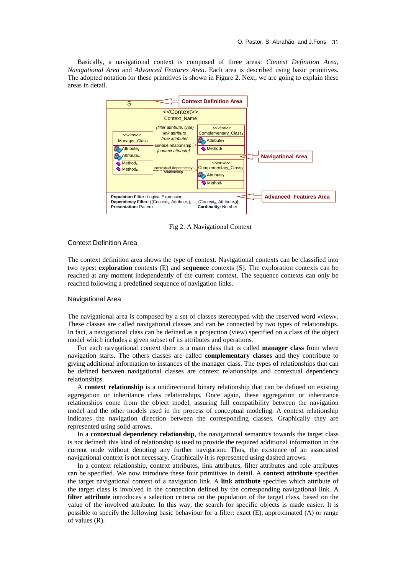Basically, a navigational context is composed of three areas: *Context Definition Area*, *Navigational Area* and *Advanced Features Area*. Each area is described using basic primitives. The adopted notation for these primitives is shown in Figure 2. Next, we are going to explain these areas in detail.



Fig 2. A Navigational Context

## Context Definition Area

The context definition area shows the type of context. Navigational contexts can be classified into two types: **exploration** contexts (E) and **sequence** contexts (S). The exploration contexts can be reached at any moment independently of the current context. The sequence contexts can only be reached following a predefined sequence of navigation links.

#### Navigational Area

The navigational area is composed by a set of classes stereotyped with the reserved word «view». These classes are called navigational classes and can be connected by two types of relationships. In fact, a navigational class can be defined as a projection (view) specified on a class of the object model which includes a given subset of its attributes and operations.

For each navigational context there is a main class that is called **manager class** from where navigation starts. The others classes are called **complementary classes** and they contribute to giving additional information to instances of the manager class. The types of relationships that can be defined between navigational classes are context relationships and contextual dependency relationships.

A **context relationship** is a unidirectional binary relationship that can be defined on existing aggregation or inheritance class relationships. Once again, these aggregation or inheritance relationships come from the object model, assuring full compatibility between the navigation model and the other models used in the process of conceptual modeling. A context relationship indicates the navigation direction between the corresponding classes. Graphically they are represented using solid arrows.

In a **contextual dependency relationship**, the navigational semantics towards the target class is not defined: this kind of relationship is used to provide the required additional information in the current node without denoting any further navigation. Thus, the existence of an associated navigational context is not necessary. Graphically it is represented using dashed arrows.

In a context relationship, context attributes, link attributes, filter attributes and role attributes can be specified. We now introduce these four primitives in detail. A **context attribute** specifies the target navigational context of a navigation link. A **link attribute** specifies which attribute of the target class is involved in the connection defined by the corresponding navigational link. A **filter attribute** introduces a selection criteria on the population of the target class, based on the value of the involved attribute. In this way, the search for specific objects is made easier. It is possible to specify the following basic behaviour for a filter: exact (E), approximated (A) or range of values (R).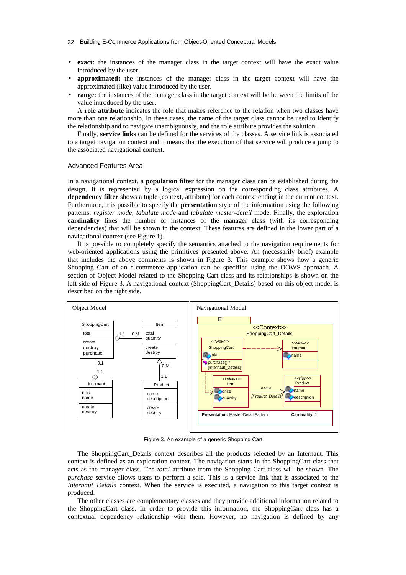- 32 Building E-Commerce Applications from Object-Oriented Conceptual Models
- **exact:** the instances of the manager class in the target context will have the exact value introduced by the user.
- **approximated:** the instances of the manager class in the target context will have the approximated (like) value introduced by the user.
- **range:** the instances of the manager class in the target context will be between the limits of the value introduced by the user.

A **role attribute** indicates the role that makes reference to the relation when two classes have more than one relationship. In these cases, the name of the target class cannot be used to identify the relationship and to navigate unambiguously, and the role attribute provides the solution.

Finally, **service links** can be defined for the services of the classes. A service link is associated to a target navigation context and it means that the execution of that service will produce a jump to the associated navigational context.

#### Advanced Features Area

In a navigational context, a **population filter** for the manager class can be established during the design. It is represented by a logical expression on the corresponding class attributes. A **dependency filter** shows a tuple (context, attribute) for each context ending in the current context. Furthermore, it is possible to specify the **presentation** style of the information using the following patterns: *register mode*, *tabulate mode* and *tabulate master-detail* mode. Finally, the exploration **cardinality** fixes the number of instances of the manager class (with its corresponding dependencies) that will be shown in the context. These features are defined in the lower part of a navigational context (see Figure 1).

It is possible to completely specify the semantics attached to the navigation requirements for web-oriented applications using the primitives presented above. An (necessarily brief) example that includes the above comments is shown in Figure 3. This example shows how a generic Shopping Cart of an e-commerce application can be specified using the OOWS approach. A section of Object Model related to the Shopping Cart class and its relationships is shown on the left side of Figure 3. A navigational context (ShoppingCart Details) based on this object model is described on the right side.



Figure 3. An example of a generic Shopping Cart

The ShoppingCart Details context describes all the products selected by an Internaut. This context is defined as an exploration context. The navigation starts in the ShoppingCart class that acts as the manager class. The *total* attribute from the Shopping Cart class will be shown. The *purchase* service allows users to perform a sale. This is a service link that is associated to the *Internaut\_Details* context. When the service is executed, a navigation to this target context is produced.

The other classes are complementary classes and they provide additional information related to the ShoppingCart class. In order to provide this information, the ShoppingCart class has a contextual dependency relationship with them. However, no navigation is defined by any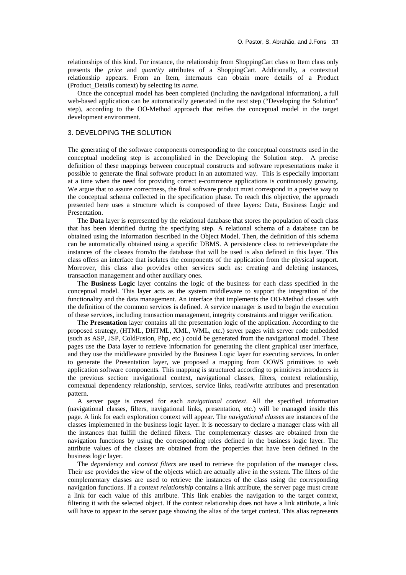relationships of this kind. For instance, the relationship from ShoppingCart class to Item class only presents the *price* and *quantity* attributes of a ShoppingCart. Additionally, a contextual relationship appears. From an Item, internauts can obtain more details of a Product (Product\_Details context) by selecting its *name*.

Once the conceptual model has been completed (including the navigational information), a full web-based application can be automatically generated in the next step ("Developing the Solution" step), according to the OO-Method approach that reifies the conceptual model in the target development environment.

## 3. DEVELOPING THE SOLUTION

The generating of the software components corresponding to the conceptual constructs used in the conceptual modeling step is accomplished in the Developing the Solution step. A precise definition of these mappings between conceptual constructs and software representations make it possible to generate the final software product in an automated way. This is especially important at a time when the need for providing correct e-commerce applications is continuously growing. We argue that to assure correctness, the final software product must correspond in a precise way to the conceptual schema collected in the specification phase. To reach this objective, the approach presented here uses a structure which is composed of three layers: Data, Business Logic and **Presentation** 

The **Data** layer is represented by the relational database that stores the population of each class that has been identified during the specifying step. A relational schema of a database can be obtained using the information described in the Object Model. Then, the definition of this schema can be automatically obtained using a specific DBMS. A persistence class to retrieve/update the instances of the classes from/to the database that will be used is also defined in this layer. This class offers an interface that isolates the components of the application from the physical support. Moreover, this class also provides other services such as: creating and deleting instances, transaction management and other auxiliary ones.

The **Business Logic** layer contains the logic of the business for each class specified in the conceptual model. This layer acts as the system middleware to support the integration of the functionality and the data management. An interface that implements the OO-Method classes with the definition of the common services is defined. A service manager is used to begin the execution of these services, including transaction management, integrity constraints and trigger verification.

The **Presentation** layer contains all the presentation logic of the application. According to the proposed strategy, (HTML, DHTML, XML, WML, etc.) server pages with server code embedded (such as ASP, JSP, ColdFusion, Php, etc.) could be generated from the navigational model. These pages use the Data layer to retrieve information for generating the client graphical user interface, and they use the middleware provided by the Business Logic layer for executing services. In order to generate the Presentation layer, we proposed a mapping from OOWS primitives to web application software components. This mapping is structured according to primitives introduces in the previous section: navigational context, navigational classes, filters, context relationship, contextual dependency relationship, services, service links, read/write attributes and presentation pattern.

A server page is created for each *navigational context*. All the specified information (navigational classes, filters, navigational links, presentation, etc.) will be managed inside this page. A link for each exploration context will appear. The *navigational classes* are instances of the classes implemented in the business logic layer. It is necessary to declare a manager class with all the instances that fulfill the defined filters. The complementary classes are obtained from the navigation functions by using the corresponding roles defined in the business logic layer. The attribute values of the classes are obtained from the properties that have been defined in the business logic layer.

The *dependency* and *context filters* are used to retrieve the population of the manager class. Their use provides the view of the objects which are actually alive in the system. The filters of the complementary classes are used to retrieve the instances of the class using the corresponding navigation functions. If a *context relationship* contains a link attribute, the server page must create a link for each value of this attribute. This link enables the navigation to the target context, filtering it with the selected object. If the context relationship does not have a link attribute, a link will have to appear in the server page showing the alias of the target context. This alias represents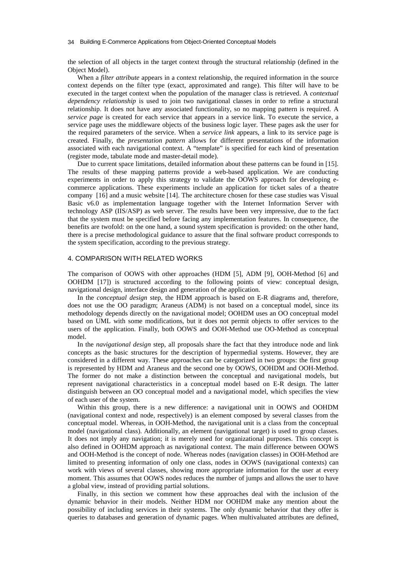#### 34 Building E-Commerce Applications from Object-Oriented Conceptual Models

the selection of all objects in the target context through the structural relationship (defined in the Object Model).

When a *filter attribute* appears in a context relationship, the required information in the source context depends on the filter type (exact, approximated and range). This filter will have to be executed in the target context when the population of the manager class is retrieved. A *contextual dependency relationship* is used to join two navigational classes in order to refine a structural relationship. It does not have any associated functionality, so no mapping pattern is required. A *service page* is created for each service that appears in a service link. To execute the service, a service page uses the middleware objects of the business logic layer. These pages ask the user for the required parameters of the service. When a *service link* appears, a link to its service page is created. Finally, the *presentation pattern* allows for different presentations of the information associated with each navigational context. A "template" is specified for each kind of presentation (register mode, tabulate mode and master-detail mode).

Due to current space limitations, detailed information about these patterns can be found in [15]. The results of these mapping patterns provide a web-based application. We are conducting experiments in order to apply this strategy to validate the OOWS approach for developing ecommerce applications. These experiments include an application for ticket sales of a theatre company [16] and a music website [14]. The architecture chosen for these case studies was Visual Basic v6.0 as implementation language together with the Internet Information Server with technology ASP (IIS/ASP) as web server. The results have been very impressive, due to the fact that the system must be specified before facing any implementation features. In consequence, the benefits are twofold: on the one hand, a sound system specification is provided: on the other hand, there is a precise methodological guidance to assure that the final software product corresponds to the system specification, according to the previous strategy.

## 4. COMPARISON WITH RELATED WORKS

The comparison of OOWS with other approaches (HDM [5], ADM [9], OOH-Method [6] and OOHDM [17]) is structured according to the following points of view: conceptual design, navigational design, interface design and generation of the application.

In the *conceptual design* step, the HDM approach is based on E-R diagrams and, therefore, does not use the OO paradigm; Araneus (ADM) is not based on a conceptual model, since its methodology depends directly on the navigational model; OOHDM uses an OO conceptual model based on UML with some modifications, but it does not permit objects to offer services to the users of the application. Finally, both OOWS and OOH-Method use OO-Method as conceptual model.

In the *navigational design* step, all proposals share the fact that they introduce node and link concepts as the basic structures for the description of hypermedial systems. However, they are considered in a different way. These approaches can be categorized in two groups: the first group is represented by HDM and Araneus and the second one by OOWS, OOHDM and OOH-Method. The former do not make a distinction between the conceptual and navigational models, but represent navigational characteristics in a conceptual model based on E-R design. The latter distinguish between an OO conceptual model and a navigational model, which specifies the view of each user of the system.

Within this group, there is a new difference: a navigational unit in OOWS and OOHDM (navigational context and node, respectively) is an element composed by several classes from the conceptual model. Whereas, in OOH-Method, the navigational unit is a class from the conceptual model (navigational class). Additionally, an element (navigational target) is used to group classes. It does not imply any navigation; it is merely used for organizational purposes. This concept is also defined in OOHDM approach as navigational context. The main difference between OOWS and OOH-Method is the concept of node. Whereas nodes (navigation classes) in OOH-Method are limited to presenting information of only one class, nodes in OOWS (navigational contexts) can work with views of several classes, showing more appropriate information for the user at every moment. This assumes that OOWS nodes reduces the number of jumps and allows the user to have a global view, instead of providing partial solutions.

Finally, in this section we comment how these approaches deal with the inclusion of the dynamic behavior in their models. Neither HDM nor OOHDM make any mention about the possibility of including services in their systems. The only dynamic behavior that they offer is queries to databases and generation of dynamic pages. When multivaluated attributes are defined,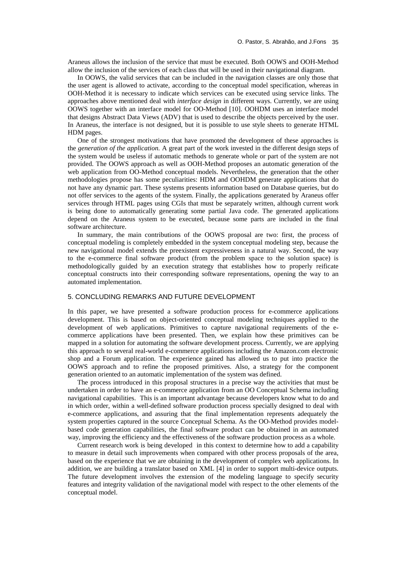Araneus allows the inclusion of the service that must be executed. Both OOWS and OOH-Method allow the inclusion of the services of each class that will be used in their navigational diagram.

In OOWS, the valid services that can be included in the navigation classes are only those that the user agent is allowed to activate, according to the conceptual model specification, whereas in OOH-Method it is necessary to indicate which services can be executed using service links. The approaches above mentioned deal with *interface design* in different ways. Currently, we are using OOWS together with an interface model for OO-Method [10]. OOHDM uses an interface model that designs Abstract Data Views (ADV) that is used to describe the objects perceived by the user. In Araneus, the interface is not designed, but it is possible to use style sheets to generate HTML HDM pages.

One of the strongest motivations that have promoted the development of these approaches is the *generation of the application.* A great part of the work invested in the different design steps of the system would be useless if automatic methods to generate whole or part of the system are not provided. The OOWS approach as well as OOH-Method proposes an automatic generation of the web application from OO-Method conceptual models. Nevertheless, the generation that the other methodologies propose has some peculiarities: HDM and OOHDM generate applications that do not have any dynamic part. These systems presents information based on Database queries, but do not offer services to the agents of the system. Finally, the applications generated by Araneus offer services through HTML pages using CGIs that must be separately written, although current work is being done to automatically generating some partial Java code. The generated applications depend on the Araneus system to be executed, because some parts are included in the final software architecture.

In summary, the main contributions of the OOWS proposal are two: first, the process of conceptual modeling is completely embedded in the system conceptual modeling step, because the new navigational model extends the preexistent expressiveness in a natural way. Second, the way to the e-commerce final software product (from the problem space to the solution space) is methodologically guided by an execution strategy that establishes how to properly reificate conceptual constructs into their corresponding software representations, opening the way to an automated implementation.

## 5. CONCLUDING REMARKS AND FUTURE DEVELOPMENT

In this paper, we have presented a software production process for e-commerce applications development. This is based on object-oriented conceptual modeling techniques applied to the development of web applications. Primitives to capture navigational requirements of the ecommerce applications have been presented. Then, we explain how these primitives can be mapped in a solution for automating the software development process. Currently, we are applying this approach to several real-world e-commerce applications including the Amazon.com electronic shop and a Forum application. The experience gained has allowed us to put into practice the OOWS approach and to refine the proposed primitives. Also, a strategy for the component generation oriented to an automatic implementation of the system was defined.

The process introduced in this proposal structures in a precise way the activities that must be undertaken in order to have an e-commerce application from an OO Conceptual Schema including navigational capabilities. This is an important advantage because developers know what to do and in which order, within a well-defined software production process specially designed to deal with e-commerce applications, and assuring that the final implementation represents adequately the system properties captured in the source Conceptual Schema. As the OO-Method provides modelbased code generation capabilities, the final software product can be obtained in an automated way, improving the efficiency and the effectiveness of the software production process as a whole.

Current research work is being developed in this context to determine how to add a capability to measure in detail such improvements when compared with other process proposals of the area, based on the experience that we are obtaining in the development of complex web applications. In addition, we are building a translator based on XML [4] in order to support multi-device outputs. The future development involves the extension of the modeling language to specify security features and integrity validation of the navigational model with respect to the other elements of the conceptual model.